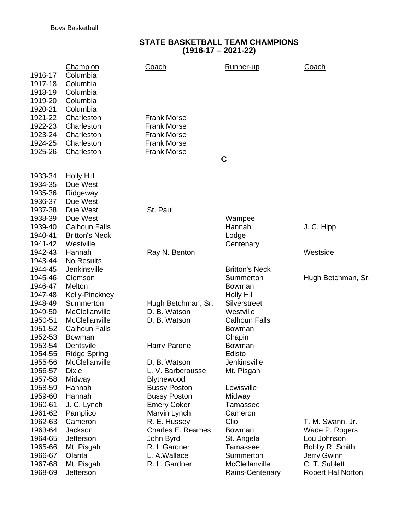#### **STATE BASKETBALL TEAM CHAMPIONS (1916-17 – 2021-22)**

| 1916-17            | <b>Champion</b><br>Columbia | <b>Coach</b>                      | Runner-up                  | <b>Coach</b>                  |
|--------------------|-----------------------------|-----------------------------------|----------------------------|-------------------------------|
| 1917-18            | Columbia                    |                                   |                            |                               |
| 1918-19            | Columbia<br>Columbia        |                                   |                            |                               |
| 1919-20<br>1920-21 | Columbia                    |                                   |                            |                               |
| 1921-22            | Charleston                  | <b>Frank Morse</b>                |                            |                               |
| 1922-23            | Charleston                  | <b>Frank Morse</b>                |                            |                               |
| 1923-24            | Charleston                  | <b>Frank Morse</b>                |                            |                               |
| 1924-25            | Charleston                  | <b>Frank Morse</b>                |                            |                               |
| 1925-26            | Charleston                  | <b>Frank Morse</b>                |                            |                               |
|                    |                             |                                   | C                          |                               |
| 1933-34            | <b>Holly Hill</b>           |                                   |                            |                               |
| 1934-35            | Due West                    |                                   |                            |                               |
| 1935-36            | Ridgeway                    |                                   |                            |                               |
| 1936-37            | Due West                    |                                   |                            |                               |
| 1937-38            | Due West                    | St. Paul                          |                            |                               |
| 1938-39            | Due West                    |                                   | Wampee                     |                               |
| 1939-40            | <b>Calhoun Falls</b>        |                                   | Hannah                     | J. C. Hipp                    |
| 1940-41            | <b>Britton's Neck</b>       |                                   | Lodge                      |                               |
| 1941-42            | Westville                   |                                   | Centenary                  |                               |
| 1942-43            | Hannah                      | Ray N. Benton                     |                            | Westside                      |
| 1943-44            | No Results                  |                                   |                            |                               |
| 1944-45            | Jenkinsville                |                                   | <b>Britton's Neck</b>      |                               |
| 1945-46<br>1946-47 | Clemson<br>Melton           |                                   | Summerton<br><b>Bowman</b> | Hugh Betchman, Sr.            |
| 1947-48            | Kelly-Pinckney              |                                   | <b>Holly Hill</b>          |                               |
| 1948-49            | Summerton                   | Hugh Betchman, Sr.                | Silverstreet               |                               |
| 1949-50            | McClellanville              | D. B. Watson                      | Westville                  |                               |
| 1950-51            | McClellanville              | D. B. Watson                      | <b>Calhoun Falls</b>       |                               |
| 1951-52            | <b>Calhoun Falls</b>        |                                   | <b>Bowman</b>              |                               |
| 1952-53            | <b>Bowman</b>               |                                   | Chapin                     |                               |
| 1953-54            | Dentsvile                   | Harry Parone                      | <b>Bowman</b>              |                               |
| 1954-55            | <b>Ridge Spring</b>         |                                   | Edisto                     |                               |
| 1955-56            | McClellanville              | D. B. Watson                      | Jenkinsville               |                               |
| 1956-57            | Dixie                       | L. V. Barberousse                 | Mt. Pisgah                 |                               |
| 1957-58            | Midway                      | Blythewood                        |                            |                               |
| 1958-59            | Hannah                      | <b>Bussy Poston</b>               | Lewisville                 |                               |
| 1959-60            | Hannah                      | <b>Bussy Poston</b>               | Midway                     |                               |
| 1960-61            | J. C. Lynch                 | <b>Emery Coker</b>                | Tamassee                   |                               |
| 1961-62            | Pamplico                    | Marvin Lynch                      | Cameron                    |                               |
| 1962-63            | Cameron<br>Jackson          | R. E. Hussey<br>Charles E. Reames | Clio                       | T. M. Swann, Jr.              |
| 1963-64<br>1964-65 | Jefferson                   | John Byrd                         | <b>Bowman</b>              | Wade P. Rogers<br>Lou Johnson |
| 1965-66            | Mt. Pisgah                  | R. L Gardner                      | St. Angela<br>Tamassee     | Bobby R. Smith                |
| 1966-67            | Olanta                      | L. A. Wallace                     | Summerton                  | Jerry Gwinn                   |
| 1967-68            | Mt. Pisgah                  | R. L. Gardner                     | McClellanville             | C. T. Sublett                 |
| 1968-69            | Jefferson                   |                                   | Rains-Centenary            | Robert Hal Norton             |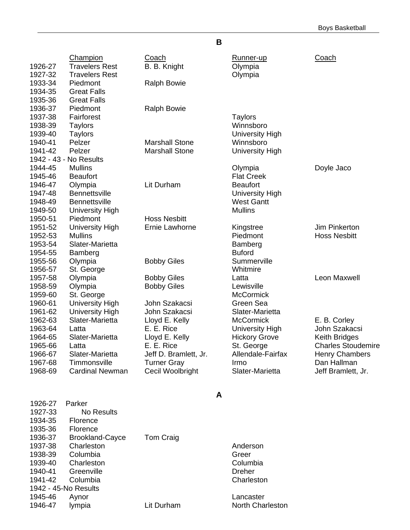| Champion<br><b>Travelers Rest</b><br><b>Travelers Rest</b><br>Piedmont<br><b>Great Falls</b> | Coach<br>B. B. Knight<br><b>Ralph Bowie</b>                                                                                                             | Runner-up<br>Olympia<br>Olympia                                                                               | Coach                                                                                                                                            |
|----------------------------------------------------------------------------------------------|---------------------------------------------------------------------------------------------------------------------------------------------------------|---------------------------------------------------------------------------------------------------------------|--------------------------------------------------------------------------------------------------------------------------------------------------|
| Piedmont<br>Fairforest<br>Taylors<br><b>Taylors</b><br>Pelzer<br>Pelzer                      | <b>Ralph Bowie</b><br><b>Marshall Stone</b><br><b>Marshall Stone</b>                                                                                    | <b>Taylors</b><br>Winnsboro<br><b>University High</b><br>Winnsboro                                            |                                                                                                                                                  |
| <b>No Results</b>                                                                            |                                                                                                                                                         |                                                                                                               |                                                                                                                                                  |
| <b>Beaufort</b>                                                                              |                                                                                                                                                         | <b>Flat Creek</b>                                                                                             | Doyle Jaco                                                                                                                                       |
| <b>Bennettsville</b><br><b>Bennettsville</b>                                                 |                                                                                                                                                         | <b>University High</b><br><b>West Gantt</b>                                                                   |                                                                                                                                                  |
|                                                                                              |                                                                                                                                                         |                                                                                                               |                                                                                                                                                  |
| <b>University High</b><br><b>Mullins</b><br>Slater-Marietta<br>Bamberg                       | Ernie Lawhorne                                                                                                                                          | Kingstree<br>Piedmont<br>Bamberg<br><b>Buford</b>                                                             | Jim Pinkerton<br><b>Hoss Nesbitt</b>                                                                                                             |
| Olympia                                                                                      | <b>Bobby Giles</b>                                                                                                                                      | Summerville                                                                                                   |                                                                                                                                                  |
| Olympia<br>Olympia<br>St. George<br><b>University High</b>                                   | <b>Bobby Giles</b><br><b>Bobby Giles</b><br>John Szakacsi                                                                                               | Latta<br>Lewisville<br><b>McCormick</b><br>Green Sea                                                          | Leon Maxwell                                                                                                                                     |
| Slater-Marietta<br>Latta<br>Slater-Marietta<br>Latta<br>Slater-Marietta<br>Timmonsville      | Lloyd E. Kelly<br>E. E. Rice<br>Lloyd E. Kelly<br>E. E. Rice<br>Jeff D. Bramlett, Jr.<br><b>Turner Gray</b>                                             | <b>McCormick</b><br><b>University High</b><br><b>Hickory Grove</b><br>St. George<br>Allendale-Fairfax<br>Irmo | E. B. Corley<br>John Szakacsi<br><b>Keith Bridges</b><br><b>Charles Stoudemire</b><br><b>Henry Chambers</b><br>Dan Hallman<br>Jeff Bramlett, Jr. |
|                                                                                              | <b>Great Falls</b><br><b>Mullins</b><br>Olympia<br><b>University High</b><br>Piedmont<br>St. George<br><b>University High</b><br><b>Cardinal Newman</b> | Lit Durham<br><b>Hoss Nesbitt</b><br>John Szakacsi<br>Cecil Woolbright                                        | <b>University High</b><br>Olympia<br><b>Beaufort</b><br><b>Mullins</b><br>Whitmire<br>Slater-Marietta<br>Slater-Marietta                         |

**B**

| 1926-27<br>1927-33<br>1934-35<br>1935-36<br>1936-37<br>1937-38<br>1938-39 | Parker<br>No Results<br>Florence<br>Florence<br><b>Brookland-Cayce</b><br>Charleston<br>Columbia | Tom Craig  | Anderson<br>Greer           |
|---------------------------------------------------------------------------|--------------------------------------------------------------------------------------------------|------------|-----------------------------|
| 1940-41<br>1941-42                                                        | Greenville<br>Columbia                                                                           |            | <b>Dreher</b><br>Charleston |
|                                                                           | 1942 - 45-No Results                                                                             |            |                             |
| 1945-46                                                                   | Aynor                                                                                            |            | Lancaster                   |
| 1946-47                                                                   | lympia                                                                                           | Lit Durham | North Char                  |
|                                                                           |                                                                                                  |            |                             |

#### **A**

North Charleston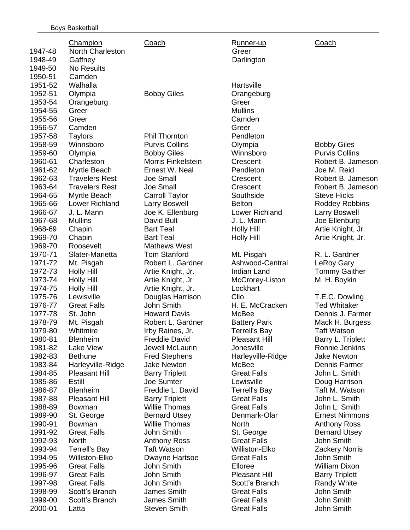|         | Champion              | Coach                     | Runner-up            | Coach                 |
|---------|-----------------------|---------------------------|----------------------|-----------------------|
| 1947-48 | North Charleston      |                           | Greer                |                       |
| 1948-49 | Gaffney               |                           | Darlington           |                       |
| 1949-50 | <b>No Results</b>     |                           |                      |                       |
| 1950-51 | Camden                |                           |                      |                       |
| 1951-52 | Walhalla              |                           | Hartsville           |                       |
| 1952-51 | Olympia               | <b>Bobby Giles</b>        | Orangeburg           |                       |
| 1953-54 | Orangeburg            |                           | Greer                |                       |
| 1954-55 | Greer                 |                           | <b>Mullins</b>       |                       |
| 1955-56 | Greer                 |                           | Camden               |                       |
| 1956-57 | Camden                |                           | Greer                |                       |
| 1957-58 | <b>Taylors</b>        | <b>Phil Thornton</b>      | Pendleton            |                       |
| 1958-59 | Winnsboro             | <b>Purvis Collins</b>     | Olympia              | <b>Bobby Giles</b>    |
| 1959-60 | Olympia               | <b>Bobby Giles</b>        | Winnsboro            | <b>Purvis Collins</b> |
| 1960-61 | Charleston            | <b>Morris Finkelstein</b> | Crescent             | Robert B. Jameson     |
| 1961-62 | Myrtle Beach          | Ernest W. Neal            | Pendleton            | Joe M. Reid           |
| 1962-63 | <b>Travelers Rest</b> | Joe Small                 | Crescent             | Robert B. Jameson     |
| 1963-64 | <b>Travelers Rest</b> | <b>Joe Small</b>          | Crescent             | Robert B. Jameson     |
| 1964-65 | Myrtle Beach          | <b>Carroll Taylor</b>     | Southside            | <b>Steve Hicks</b>    |
| 1965-66 | <b>Lower Richland</b> | Larry Boswell             | <b>Belton</b>        | Roddey Robbins        |
| 1966-67 | J. L. Mann            | Joe K. Ellenburg          | Lower Richland       | <b>Larry Boswell</b>  |
| 1967-68 | <b>Mullins</b>        | David Bult                | J. L. Mann           | Joe Ellenburg         |
| 1968-69 | Chapin                | <b>Bart Teal</b>          | <b>Holly Hill</b>    | Artie Knight, Jr.     |
| 1969-70 | Chapin                | <b>Bart Teal</b>          | <b>Holly Hill</b>    | Artie Knight, Jr.     |
| 1969-70 | Roosevelt             | <b>Mathews West</b>       |                      |                       |
| 1970-71 | Slater-Marietta       | <b>Tom Stanford</b>       | Mt. Pisgah           | R. L. Gardner         |
| 1971-72 | Mt. Pisgah            | Robert L. Gardner         | Ashwood-Central      | <b>LeRoy Gary</b>     |
| 1972-73 | <b>Holly Hill</b>     | Artie Knight, Jr.         | Indian Land          | <b>Tommy Gaither</b>  |
| 1973-74 | <b>Holly Hill</b>     | Artie Knight, Jr          | McCrorey-Liston      | M. H. Boykin          |
| 1974-75 | <b>Holly Hill</b>     | Artie Knight, Jr.         | Lockhart             |                       |
| 1975-76 | Lewisville            | Douglas Harrison          | Clio                 | T.E.C. Dowling        |
| 1976-77 | <b>Great Falls</b>    | John Smith                | H. E. McCracken      | <b>Ted Whitaker</b>   |
| 1977-78 | St. John              | <b>Howard Davis</b>       | McBee                | Dennis J. Farmer      |
| 1978-79 | Mt. Pisgah            | Robert L. Gardner         | <b>Battery Park</b>  | Mack H. Burgess       |
| 1979-80 | Whitmire              | Irby Raines, Jr.          | <b>Terrell's Bay</b> | <b>Taft Watson</b>    |
| 1980-81 | <b>Blenheim</b>       | <b>Freddie David</b>      | <b>Pleasant Hill</b> | Barry L. Triplett     |
| 1981-82 | Lake View             | Jewell McLaurin           | Jonesville           | Ronnie Jenkins        |
| 1982-83 | <b>Bethune</b>        | <b>Fred Stephens</b>      | Harleyville-Ridge    | <b>Jake Newton</b>    |
| 1983-84 | Harleyville-Ridge     | <b>Jake Newton</b>        | McBee                | Dennis Farmer         |
| 1984-85 | <b>Pleasant Hill</b>  | <b>Barry Triplett</b>     | <b>Great Falls</b>   | John L. Smith         |
| 1985-86 | Estill                | <b>Joe Sumter</b>         | Lewisville           | Doug Harrison         |
| 1986-87 | <b>Blenheim</b>       | Freddie L. David          | <b>Terrell's Bay</b> | Taft M. Watson        |
| 1987-88 | <b>Pleasant Hill</b>  | <b>Barry Triplett</b>     | <b>Great Falls</b>   | John L. Smith         |
| 1988-89 | <b>Bowman</b>         | <b>Willie Thomas</b>      | <b>Great Falls</b>   | John L. Smith         |
| 1989-90 | St. George            | <b>Bernard Utsey</b>      | Denmark-Olar         | <b>Ernest Nimmons</b> |
| 1990-91 | <b>Bowman</b>         | <b>Willie Thomas</b>      | <b>North</b>         | <b>Anthony Ross</b>   |
| 1991-92 | <b>Great Falls</b>    | John Smith                | St. George           | <b>Bernard Utsey</b>  |
| 1992-93 | <b>North</b>          | <b>Anthony Ross</b>       | <b>Great Falls</b>   | John Smith            |
| 1993-94 | <b>Terrell's Bay</b>  | <b>Taft Watson</b>        | Williston-Elko       | <b>Zackery Norris</b> |
| 1994-95 | Williston-Elko        | Dwayne Hartsoe            | <b>Great Falls</b>   | John Smith            |
| 1995-96 | <b>Great Falls</b>    | John Smith                | Elloree              | <b>William Dixon</b>  |
| 1996-97 | <b>Great Falls</b>    | John Smith                | <b>Pleasant Hill</b> | <b>Barry Triplett</b> |
| 1997-98 | <b>Great Falls</b>    | John Smith                | Scott's Branch       | Randy White           |
| 1998-99 | Scott's Branch        | James Smith               | <b>Great Falls</b>   | John Smith            |
| 1999-00 | Scott's Branch        | James Smith               | <b>Great Falls</b>   | John Smith            |
| 2000-01 | Latta                 | <b>Steven Smith</b>       | <b>Great Falls</b>   | John Smith            |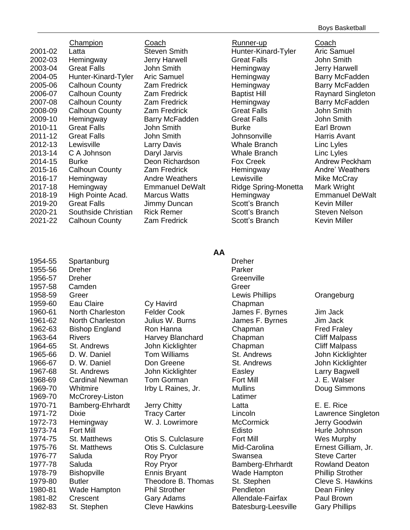|         | Champion              | Coach                  | Runner-up            | Coach              |
|---------|-----------------------|------------------------|----------------------|--------------------|
| 2001-02 | Latta                 | <b>Steven Smith</b>    | Hunter-Kinard-Tyler  | <b>Aric Samue</b>  |
| 2002-03 | Hemingway             | Jerry Harwell          | <b>Great Falls</b>   | John Smith         |
| 2003-04 | <b>Great Falls</b>    | John Smith             | Hemingway            | <b>Jerry Harw</b>  |
| 2004-05 | Hunter-Kinard-Tyler   | <b>Aric Samuel</b>     | Hemingway            | <b>Barry McFa</b>  |
| 2005-06 | <b>Calhoun County</b> | Zam Fredrick           | Hemingway            | <b>Barry McFa</b>  |
| 2006-07 | <b>Calhoun County</b> | Zam Fredrick           | <b>Baptist Hill</b>  | <b>Raynard Si</b>  |
| 2007-08 | <b>Calhoun County</b> | Zam Fredrick           | Hemingway            | <b>Barry McFa</b>  |
| 2008-09 | <b>Calhoun County</b> | Zam Fredrick           | <b>Great Falls</b>   | John Smith         |
| 2009-10 | Hemingway             | Barry McFadden         | <b>Great Falls</b>   | John Smith         |
| 2010-11 | <b>Great Falls</b>    | John Smith             | <b>Burke</b>         | Earl Brown         |
| 2011-12 | <b>Great Falls</b>    | John Smith             | Johnsonville         | Harris Avar        |
| 2012-13 | Lewisville            | Larry Davis            | Whale Branch         | Linc Lyles         |
| 2013-14 | C A Johnson           | Daryl Jarvis           | Whale Branch         | Linc Lyles         |
| 2014-15 | <b>Burke</b>          | Deon Richardson        | Fox Creek            | Andrew Pe          |
| 2015-16 | <b>Calhoun County</b> | Zam Fredrick           | Hemingway            | Andre' Wea         |
| 2016-17 | Hemingway             | <b>Andre Weathers</b>  | Lewisville           | Mike McCr          |
| 2017-18 | Hemingway             | <b>Emmanuel DeWalt</b> | Ridge Spring-Monetta | Mark Wrigh         |
| 2018-19 | High Pointe Acad.     | <b>Marcus Watts</b>    | Hemingway            | Emmanuel           |
| 2019-20 | <b>Great Falls</b>    | Jimmy Duncan           | Scott's Branch       | <b>Kevin Mille</b> |
| 2020-21 | Southside Christian   | <b>Rick Remer</b>      | Scott's Branch       | <b>Steven Nel</b>  |
| 2021-22 | <b>Calhoun County</b> | Zam Fredrick           | Scott's Branch       | <b>Kevin Mille</b> |
|         |                       |                        |                      |                    |

Steven Smith **Hunter-Kinard-Tyler** Aric Samuel 2002-03 Hemingway Jerry Harwell Great Falls John Smith John Smith **Hemingway** Jerry Harwell Aric Samuel **2006** Hemingway **Hemingway** Barry McFadden Zam Fredrick **Hemingway** Barry McFadden Zam Fredrick **Baptist Hill Raynard Singleton** Zam Fredrick **Hemingway** Barry McFadden Zam Fredrick **Great Falls** Great Falls John Smith 2009-10 Hemingway Barry McFadden Great Falls John Smith 2011-12 Great Falls John Smith Johnsonville Harris Avant **Larry Davis 2013 Whale Branch Linc Lyles** Daryl Jarvis **Communist Control Control Control Control Control Control Control Control Control Control Control Control Control Control Control Control Control Control Control Control Control Control Control Control Contro** Deon Richardson Fox Creek Andrew Peckham Zam Fredrick **Hemingway** Andre' Weathers Andre Weathers Lewisville Mike McCray Emmanuel DeWalt Ridge Spring-Monetta Mark Wright Marcus Watts **Hemingway** Emmanuel DeWalt 2019-20 Great Falls Jimmy Duncan Scott's Branch Kevin Miller 2020-21 Southside Christian Rick Remer Scott's Branch Steven Nelson Zam Fredrick Scott's Branch Kevin Miller

| 1954-55 | Spartanburg             |                      | <b>Dreher</b>   |
|---------|-------------------------|----------------------|-----------------|
| 1955-56 | Dreher                  |                      | Parker          |
| 1956-57 | <b>Dreher</b>           |                      | Greenvi         |
| 1957-58 | Camden                  |                      | Greer           |
| 1958-59 | Greer                   |                      | Lewis F         |
| 1959-60 | Eau Claire              | Cy Havird            | Chapm           |
| 1960-61 | <b>North Charleston</b> | <b>Felder Cook</b>   | James           |
| 1961-62 | <b>North Charleston</b> | Julius W. Burns      | James           |
| 1962-63 | <b>Bishop England</b>   | Ron Hanna            | Chapm           |
| 1963-64 | <b>Rivers</b>           | Harvey Blanchard     | Chapm           |
| 1964-65 | St. Andrews             | John Kicklighter     | Chapm           |
| 1965-66 | D. W. Daniel            | <b>Tom Williams</b>  | St. And         |
| 1966-67 | D. W. Daniel            | Don Greene           | St. And         |
| 1967-68 | St. Andrews             | John Kicklighter     | Easley          |
| 1968-69 | <b>Cardinal Newman</b>  | <b>Tom Gorman</b>    | <b>Fort Mil</b> |
| 1969-70 | Whitmire                | Irby L Raines, Jr.   | <b>Mullins</b>  |
| 1969-70 | McCrorey-Liston         |                      | Latimer         |
| 1970-71 | Bamberg-Ehrhardt        | <b>Jerry Chitty</b>  | Latta           |
| 1971-72 | Dixie                   | <b>Tracy Carter</b>  | Lincoln         |
| 1972-73 | Hemingway               | W. J. Lowrimore      | <b>McCorr</b>   |
| 1973-74 | <b>Fort Mill</b>        |                      | Edisto          |
| 1974-75 | St. Matthews            | Otis S. Culclasure   | <b>Fort Mil</b> |
| 1975-76 | St. Matthews            | Otis S. Culclasure   | Mid-Ca          |
| 1976-77 | Saluda                  | Roy Pryor            | Swanse          |
| 1977-78 | Saluda                  | Roy Pryor            | <b>Bamber</b>   |
| 1978-79 | <b>Bishopville</b>      | <b>Ennis Bryant</b>  | Wade <b>F</b>   |
| 1979-80 | <b>Butler</b>           | Theodore B. Thomas   | St. Step        |
| 1980-81 | Wade Hampton            | <b>Phil Strother</b> | Pendlet         |
| 1981-82 | Crescent                | Gary Adams           | Allenda         |
| 1982-83 | St. Stephen             | <b>Cleve Hawkins</b> | <b>Batesbi</b>  |

# Cy Havird Chapman Felder Cook James F. Byrnes Jim Jack 1961-62 North Charleston Julius W. Burns James F. Byrnes Jim Jack Ron Hanna **1962-63 Bishop Chapman** Fred Fraley Harvey Blanchard Chapman Cliff Malpass 1964-65 St. Andrews John Kicklighter Chapman Cliff Malpass 1965-66 D. W. Daniel Tom Williams St. Andrews John Kicklighter **1966** Don Greene St. Andrews John Kicklighter John Kicklighter **Easley Larry Bagwell** Tom Gorman Fort Mill J. E. Walser Irby L Raines, Jr. Mullins Doug Simmons 1970-1970-71 Bamberg-E. E. Rice W. J. Lowrimore McCormick Jerry Goodwin Otis S. Culclasure Fort Mill Wes Murphy

**1976-1976-1976-1976-77 Swansea Steve Carter** Steve Carter Roy Pryor **Bamberg-Ehrhardt** Rowland Deaton 1978-79 Bishopville Ennis Bryant Wade Hampton Phillip Strother Theodore B. Thomas St. Stephen Cleve S. Hawkins **1980-91 Phil Strother Pendleton** Pendleton Dean Finley Gary Adams **1981** - Allendale-Fairfax Paul Brown Cleve Hawkins **Batesburg-Leesville** Gary Phillips

Greenville Lewis Phillips **Crangeburg** Edisto **Hurle Johnson** 

**AA**

**Tracy Carter Cartes Communist Contract Lawrence Singleton** Otis S. Culclasure Mid-Carolina Ernest Gilliam, Jr.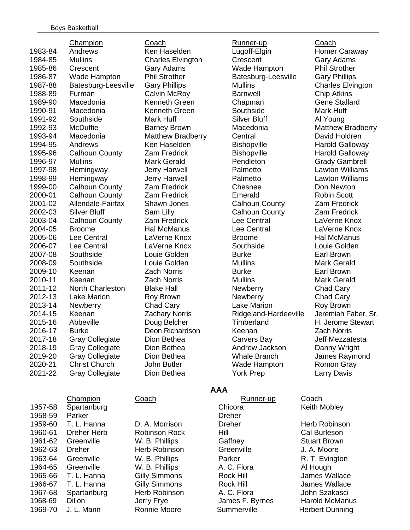|         | Champion                | Coach                    | Runner-up             | <b>Coach</b>        |
|---------|-------------------------|--------------------------|-----------------------|---------------------|
| 1983-84 | Andrews                 | Ken Haselden             | Lugoff-Elgin          | Homer Car           |
| 1984-85 | <b>Mullins</b>          | <b>Charles Elvington</b> | Crescent              | Gary Adan           |
| 1985-86 | Crescent                | Gary Adams               | Wade Hampton          | Phil Stroth         |
| 1986-87 | Wade Hampton            | <b>Phil Strother</b>     | Batesburg-Leesville   | <b>Gary Phillip</b> |
| 1987-88 | Batesburg-Leesville     | <b>Gary Phillips</b>     | <b>Mullins</b>        | Charles El          |
| 1988-89 | Furman                  | Calvin McRoy             | <b>Barnwell</b>       | <b>Chip Atkins</b>  |
| 1989-90 | Macedonia               | Kenneth Green            | Chapman               | <b>Gene Stall</b>   |
| 1990-91 | Macedonia               | Kenneth Green            | Southside             | Mark Huff           |
| 1991-92 | Southside               | Mark Huff                | <b>Silver Bluff</b>   | Al Young            |
| 1992-93 | <b>McDuffie</b>         | <b>Barney Brown</b>      | Macedonia             | <b>Matthew B</b>    |
| 1993-94 | Macedonia               | <b>Matthew Bradberry</b> | Central               | David Hold          |
| 1994-95 | Andrews                 | Ken Haselden             | Bishopville           | <b>Harold Gal</b>   |
| 1995-96 | <b>Calhoun County</b>   | <b>Zam Fredrick</b>      | Bishopville           | <b>Harold Gal</b>   |
| 1996-97 | <b>Mullins</b>          | <b>Mark Gerald</b>       | Pendleton             | Grady Gan           |
| 1997-98 | Hemingway               | <b>Jerry Harwell</b>     | Palmetto              | Lawton Wi           |
| 1998-99 | Hemingway               | <b>Jerry Harwell</b>     | Palmetto              | Lawton Wi           |
| 1999-00 | <b>Calhoun County</b>   | <b>Zam Fredrick</b>      | Chesnee               | Don Newto           |
| 2000-01 | <b>Calhoun County</b>   | <b>Zam Fredrick</b>      | Emerald               | Robin Scot          |
| 2001-02 | Allendale-Fairfax       | <b>Shawn Jones</b>       | <b>Calhoun County</b> | <b>Zam Fredr</b>    |
| 2002-03 | <b>Silver Bluff</b>     | Sam Lilly                | <b>Calhoun County</b> | Zam Fredr           |
| 2003-04 | <b>Calhoun County</b>   | <b>Zam Fredrick</b>      | <b>Lee Central</b>    | LaVerne K           |
| 2004-05 | <b>Broome</b>           | <b>Hal McManus</b>       | Lee Central           | LaVerne K           |
| 2005-06 | Lee Central             | LaVerne Knox             | <b>Broome</b>         | Hal McMar           |
| 2006-07 | Lee Central             | LaVerne Knox             | Southside             | Louie Gold          |
| 2007-08 | Southside               | Louie Golden             | <b>Burke</b>          | <b>Earl Browr</b>   |
| 2008-09 | Southside               | Louie Golden             | <b>Mullins</b>        | <b>Mark Gera</b>    |
| 2009-10 | Keenan                  | <b>Zach Norris</b>       | <b>Burke</b>          | <b>Earl Browr</b>   |
| 2010-11 | Keenan                  | <b>Zach Norris</b>       | <b>Mullins</b>        | <b>Mark Gera</b>    |
| 2011-12 | <b>North Charleston</b> | <b>Blake Hall</b>        | Newberry              | <b>Chad Cary</b>    |
| 2012-13 | <b>Lake Marion</b>      | Roy Brown                | <b>Newberry</b>       | Chad Cary           |
| 2013-14 | Newberry                | Chad Cary                | <b>Lake Marion</b>    | <b>Roy Browr</b>    |
| 2014-15 | Keenan                  | <b>Zachary Norris</b>    | Ridgeland-Hardeeville | Jeremiah F          |
| 2015-16 | Abbeville               | Doug Belcher             | Timberland            | H. Jerome           |
| 2016-17 | <b>Burke</b>            | Deon Richardson          | Keenan                | <b>Zach Norris</b>  |
| 2017-18 | <b>Gray Collegiate</b>  | Dion Bethea              | Carvers Bay           | Jeff Mezza          |
| 2018-19 | <b>Gray Collegiate</b>  | Dion Bethea              | Andrew Jackson        | Danny Wri           |
| 2019-20 | <b>Gray Collegiate</b>  | Dion Bethea              | <b>Whale Branch</b>   | James Ray           |
| 2020-21 | <b>Christ Church</b>    | John Butler              | <b>Wade Hampton</b>   | Romon Gra           |
| 2021-22 | <b>Gray Collegiate</b>  | Dion Bethea              | <b>York Prep</b>      | <b>Larry Davis</b>  |
|         |                         |                          |                       |                     |

|         | <b>UNGHIPIUM</b>   | <b>OUGULI</b>        |               |
|---------|--------------------|----------------------|---------------|
| 1957-58 | Spartanburg        |                      | Chicora       |
| 1958-59 | Parker             |                      | <b>Dreher</b> |
| 1959-60 | T. L. Hanna        | D. A. Morrison       | <b>Dreher</b> |
| 1960-61 | <b>Dreher Herb</b> | Robinson Rock        | Hill          |
| 1961-62 | Greenville         | W. B. Phillips       | Gaffne        |
| 1962-63 | <b>Dreher</b>      | Herb Robinson        | <b>Greeny</b> |
| 1963-64 | Greenville         | W. B. Phillips       | Parker        |
| 1964-65 | Greenville         | W. B. Phillips       | A. C. F       |
| 1965-66 | T. L. Hanna        | <b>Gilly Simmons</b> | Rock H        |
| 1966-67 | T. L. Hanna        | <b>Gilly Simmons</b> | Rock H        |
| 1967-68 | Spartanburg        | Herb Robinson        | A. C. F       |
| 1968-69 | Dillon             | Jerry Frye           | James         |
| 1969-70 | J. L. Mann         | Ronnie Moore         | Summe         |

D. A. Morrison **Dreher Dreher** Herb Robinson Robinson Rock Hill Hill Cal Burleson W. B. Phillips **Gaffney** Gaffney Stuart Brown Herb Robinson Greenville J. A. Moore W. B. Phillips **Parker** R. T. Evington W. B. Phillips **A. C. Flora** A. Al Hough Gilly Simmons **Rock Hill** James Wallace Gilly Simmons **Rock Hill** James Wallace 1967-68 Herb Robinson A. C. Flora C. Subhin Szakasci

**AAA**

Coach Runner-up Coach Ken Haselden Lugoff-Elgin Homer Caraway **Charles Elvington Crescent Gary Adams** Gary Adams **1986** Wade Hampton Phil Strother Phil Strother **Batesburg-Leesville** Gary Phillips **1987-98 Bates Bates Gary Phillips Charles Elvington Calvin McRoy Calvin McRoy Barnwell Chip Atkins** 1989-90 Macedonia Kenneth Green Chapman Gene Stallard **1991-1990-1990** Kenneth Green Southside Mark Huff **1992-93 Macedonia** Macedonia Matthew Bradberry Matthew Bradberry Central David Holdren 1994-95 Andrews Ken Haselden Bishopville Harold Galloway **2** Zam Fredrick **Bishopville** Harold Galloway Mark Gerald **Pendleton Grady Gambrell** 1997-98 Hemingway Jerry Harwell Palmetto Lawton Williams 1998-99 Hemingway Jerry Harwell Palmetto Lawton Williams **2** Zam Fredrick Chesnee Don Newton Zam Fredrick **Emerald Emerald** Robin Scott 2001-02 Allendale-Fairfax Shawn Jones Calhoun County Zam Fredrick **2008** Sam Lilly **Calhoun County Zam Fredrick** Zam Fredrick Lee Central LaVerne Knox Hal McManus Lee Central LaVerne Knox 2005-06 Lee Central LaVerne Knox Broome Hal McManus 2006-07 Lee Central LaVerne Knox Southside Louie Golden **2007-1007-09 Louie Golden Burke Earl Brown** 2008-09 Southside Louie Golden Mullins Mark Gerald Zach Norris **Earl Brown** Burke **Earl Brown** Zach Norris **Mullins** Mullins Mark Gerald Roy Brown **Newberry** Chad Cary Chad Cary **Lake Marion** Roy Brown Zachary Norris **Ridgeland-Hardeeville** Jeremiah Faber, Sr. Doug Belcher Timberland H. Jerome Stewart 2016-17 Burke Deon Richardson Keenan Zach Norris 2017-18 Gray Collegiate Dion Bethea Carvers Bay Jeff Mezzatesta 2018-19 Gray Collegiate Dion Bethea Andrew Jackson Danny Wright 2019-20 Gray Collegiate Dion Bethea Whale Branch James Raymond John Butler **2020-21 Christ Church Church Church Church Church Channel Church Channel Church Channel Church Channel Church Channel Church Channel Church Channel Church Channel Church Channel Church Channel Church Channel C** Dion Bethea **2021-22 Collegiate Prep** 2021-22 Larry Davis

Champion Coach Coach Runner-up Coach **1957-69 Chicora** Keith Mobley

> 1968-69 Dillon Jerry Frye James F. Byrnes Harold McManus Ronnie Moore **1969-1969** Summerville Herbert Dunning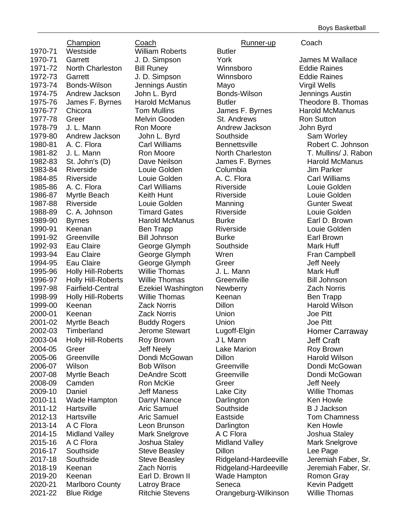Champion Coach Runner-up Coach 1970-71 Westside William Roberts Butler 1970-71 Garrett J. D. Simpson York James M Wallace 1971-72 North Charleston Bill Runey Winnsboro Eddie Raines 1972-73 Garrett J. D. Simpson Winnsboro Eddie Raines 1973-74 Bonds-Wilson Jennings Austin Mayo Virgil Wells 1974-75 Andrew Jackson John L. Byrd Bonds-Wilson Jennings Austin 1975-76 James F. Byrnes Harold McManus Butler Communist Pheodore B. Thomas 1976-77 Chicora **Tom Mullins** James F. Byrnes Harold McManus 1977-78 Greer **Melvin Gooden** St. Andrews Ron Sutton 1978-79 J. L. Mann Ron Moore Andrew Jackson John Byrd 1979-80 Andrew Jackson John L. Byrd Southside Sam Worley 1980-81 A. C. Flora Carl Williams Bennettsville Robert C. Johnson 1981-82 J. L. Mann Ron Moore North Charleston T. Mullins/ J. Rabon 1982-83 St. John's (D) Dave Neilson James F. Byrnes Harold McManus 1983-84 Riverside Louie Golden Columbia Jim Parker 1984-85 Riverside Louie Golden A. C. Flora Carl Williams 1985-86 A. C. Flora Carl Williams Riverside Louie Golden 1986-87 Myrtle Beach Keith Hunt Riverside Louie Golden 1987-88 Riverside Louie Golden Manning Gunter Sweat 1988-89 C. A. Johnson Timard Gates Riverside Louie Golden 1989-90 Byrnes Harold McManus Burke Earl D. Brown 1990-91 Keenan Ben Trapp Riverside Louie Golden 1991-92 Greenville Bill Johnson Burke Earl Brown 1992-93 Eau Claire George Glymph Southside Mark Huff 1993-94 Eau Claire **George Glymph** Wren **New State Campbell** 1994-95 Eau Claire George Glymph Greer Jeff Neely 1995-96 Holly Hill-Roberts Willie Thomas J. L. Mann Mark Huff 1996-97 Holly Hill-Roberts Willie Thomas Greenville Greenville Bill Johnson 1997-98 Fairfield-Central Ezekiel Washington Newberry Zach Norris 1998-99 Holly Hill-Roberts Willie Thomas Keenan Seenan Ben Trapp 1999-00 Keenan Zack Norris Dillon Harold Wilson 2000-01 Keenan Zack Norris Union Joe Pitt 2001-02 Myrtle Beach Buddy Rogers Union Joe Pitt 2002-03 Timberland Jerome Stewart Lugoff-Elgin Homer Carraway 2003-04 Holly Hill-Roberts Roy Brown JL Mann Jeff Craft 2004-05 Greer Jeff Neely Lake Marion Roy Brown 2005-06 Greenville Dondi McGowan Dillon Harold Wilson 2006-07 Wilson Bob Wilson Greenville Dondi McGowan 2007-08 Myrtle Beach DeAndre Scott Greenville Communic Dondi McGowan<br>2008-09 Camden Ron McKie Greer Greenville Jeff Neelv 2008-09 Camden **Ron McKie** Greer Greer Jeff Neely 2009-10 Daniel Jeff Maness Lake City Willie Thomas 2010-11 Wade Hampton Darryl Nance Darlington Ken Howle 2011-12 Hartsville Aric Samuel Southside B J Jackson 2012-13 Hartsville Aric Samuel Eastside Tom Chamness 2013-14 A C Flora Leon Brunson Darlington Ken Howle 2014-15 Midland Valley Mark Snelgrove A C Flora Joshua Staley 2015-16 A C Flora Joshua Staley Midland Valley Mark Snelgrove 2016-17 Southside Steve Beasley Dillon Lee Page 2017-18 Southside Steve Beasley Ridgeland-Hardeeville Jeremiah Faber, Sr. 2018-19 Keenan Zach Norris Ridgeland-Hardeeville Jeremiah Faber, Sr. 2019-20 Keenan Earl D. Brown II Wade Hampton Romon Gray 2020-21 Marlboro County Latroy Brace Seneca Kevin Padgett

2021-22 Blue Ridge **Ritchie Stevens** Orangeburg-Wilkinson Willie Thomas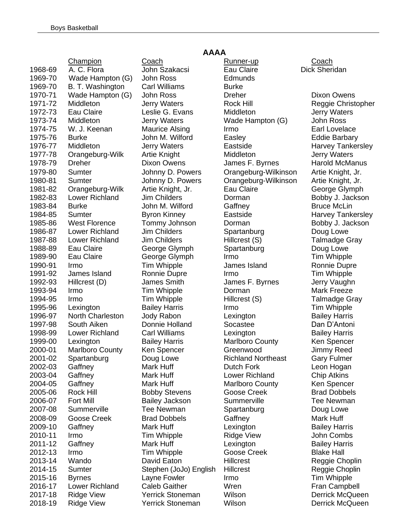|         | <b>Champion</b>         |
|---------|-------------------------|
| 1968-69 | A. C. Flora             |
| 1969-70 | Wade Hampton (G         |
| 1969-70 | B. T. Washington        |
| 1970-71 | Wade Hampton (G         |
| 1971-72 | Middleton               |
| 1972-73 | Eau Claire              |
| 1973-74 | Middleton               |
| 1974-75 | W. J. Keenan            |
| 1975-76 | <b>Burke</b>            |
| 1976-77 | Middleton               |
| 1977-78 |                         |
|         | Orangeburg-Wilk         |
| 1978-79 | <b>Dreher</b>           |
| 1979-80 | Sumter                  |
| 1980-81 | Sumter                  |
| 1981-82 | Orangeburg-Wilk         |
| 1982-83 | <b>Lower Richland</b>   |
| 1983-84 | Burke                   |
| 1984-85 | Sumter                  |
| 1985-86 | <b>West Florence</b>    |
| 1986-87 | Lower Richland          |
| 1987-88 | <b>Lower Richland</b>   |
| 1988-89 | Eau Claire              |
| 1989-90 | Eau Claire              |
| 1990-91 | Irmo                    |
| 1991-92 | James Island            |
| 1992-93 | Hillcrest (D)           |
| 1993-94 | Irmo                    |
| 1994-95 | Irmo                    |
| 1995-96 | Lexington               |
| 1996-97 | <b>North Charleston</b> |
| 1997-98 | South Aiken             |
| 1998-99 | <b>Lower Richland</b>   |
|         |                         |
| 1999-00 | Lexington               |
| 2000-01 | Marlboro County         |
| 2001-02 | Spartanburg             |
| 2002-03 | Gaffney                 |
| 2003-04 | Gaffney                 |
| 2004-05 | Gaffney                 |
| 2005-06 | <b>Rock Hill</b>        |
| 2006-07 | <b>Fort Mill</b>        |
| 2007-08 | Summerville             |
| 2008-09 | <b>Goose Creek</b>      |
| 2009-10 | Gaffney                 |
| 2010-11 | Irmo                    |
| 2011-12 | Gaffney                 |
| 2012-13 | Irmo                    |
| 2013-14 | Wando                   |
| 2014-15 | Sumter                  |
| 2015-16 | <b>Byrnes</b>           |
| 2016-17 | <b>Lower Richland</b>   |
| 2017-18 | <b>Ridge View</b>       |
| 2018-19 | <b>Ridge View</b>       |
|         |                         |

3) John Ross **Edmunds** Carl Williams Burke

#### **AAAA**

Coach Runner-up Coach 1968-69 A. C. Flora John Szakacsi Eau Claire Dick Sheridan 1) John Ross Dreher Dreher Dixon Owens Jerry Waters **Rock Hill** Reggie Christopher Leslie G. Evans Middleton and Jerry Waters 1973-74 Middleton Jerry Waters Wade Hampton (G) John Ross Maurice Alsing Trmo **Irmo Earl Lovelace** 1975-76 Burke John M. Wilford Easley Eddie Barbary 1976-77 Middleton Jerry Waters Eastside Harvey Tankersley Artie Knight **1977-79 Middleton** Middleton Jerry Waters Dixon Owens **1978-79 Ultimate States F. Byrnes** Harold McManus Johnny D. Powers Orangeburg-Wilkinson Artie Knight, Jr. Johnny D. Powers Orangeburg-Wilkinson Artie Knight, Jr. Artie Knight, Jr. **Eau Claire** George Glymph Jim Childers **Dorman** Bobby J. Jackson John M. Wilford Gaffney Gares Bruce McLin **1984-Byron Kinney Castside Castside Harvey Tankersley** Tommy Johnson Dorman Bobby J. Jackson Jim Childers **Spartanburg Communist Communist Communist** Doug Lowe Jim Childers **Hillcrest (S)** Talmadge Gray George Glymph Spartanburg **Communist Communist Communist Communist Communist Communist Communist Communist Communist Communist Communist Communist Communist Communist Communist Communist Communist Communist Communist Commu** George Glymph Irmo Irmo Tim Whipple Tim Whipple **1990-91 Irmo James Island** Ronnie Dupre Ronnie Dupre Irmo Irmo Irmo Tim Whipple 1992-93 Hillcrest (D) James Smith James F. Byrnes Jerry Vaughn 1993-94 Irmo Tim Whipple Dorman Mark Freeze Tim Whipple **1994-1995** Hillcrest (S) Talmadge Gray **1995-96 Bailey Harris Communisty Communisty Communisty Communisty Communisty Communisty Communisty Communisty** 1996-97 North Charleston Jody Rabon Lexington Bailey Harris 1997-Donnie Holland Socastee Nan D'Antoni Carl Williams Lexington Bailey Harris **1999-1999-1999-00 Marlboro County** Ken Spencer 2000-01 Marlboro County Ken Spencer Greenwood Jimmy Reed Doug Lowe **Richland Northeast** Gary Fulmer Mark Huff **Constructs** Dutch Fork Leon Hogan Mark Huff **Lower Richland** Chip Atkins Mark Huff **Marlboro County** Ken Spencer Bobby Stevens Goose Creek Brad Dobbels 2006-07 Fort Mill Bailey Jackson Summerville Tee Newman **2007-09 Tee Newman Spartanburg Communist Communist Communist Communist Communist Communist Communist Communist Communist Communist Communist Communist Communist Communist Communist Communist Communist Communist Communist 2008-009 Brad Dobbels Gaffney Gaffney Mark Huff** Mark Huff **Lexington** Communication Bailey Harris **2010**-11 Tim Whipple **Ridge View State State State** John Combs Mark Huff **Contract Contract Lexington** Contract Bailey Harris 2012-13 Irmo Tim Whipple Goose Creek Blake Hall David Eaton **Hillcrest** Reggie Choplin 2014-15 Sumter Stephen (JoJo) English Hillcrest Reggie Choplin Layne Fowler **Irmo** Irmo Tim Whipple **2016** Caleb Gaither **Michael Caleb Gaither** Wren Fran Campbell Yerrick Stoneman Wilson Derrick McQueen Yerrick Stoneman Wilson **Derrick McQueen**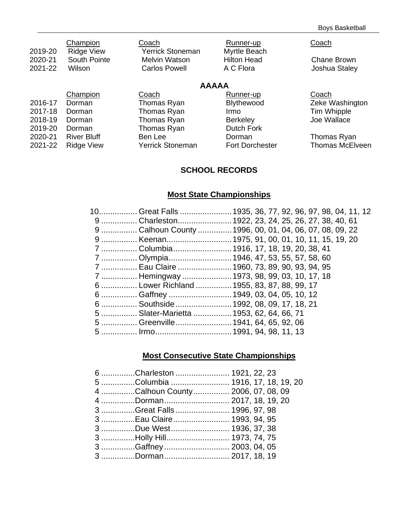| 2019-20<br>2020-21 | Champion<br><b>Ridge View</b><br>South Pointe | Coach<br>Yerrick Stoneman<br><b>Melvin Watson</b> | Runner-up<br>Myrtle Beach<br><b>Hilton Head</b> | Coach                        |
|--------------------|-----------------------------------------------|---------------------------------------------------|-------------------------------------------------|------------------------------|
| 2021-22            | Wilson                                        | <b>Carlos Powell</b>                              | A C Flora                                       | Chane Brown<br>Joshua Staley |
|                    |                                               | <b>AAAAA</b>                                      |                                                 |                              |
|                    | Champion                                      | Coach                                             | Runner-up                                       | Coach                        |
| 2016-17            | Dorman                                        | Thomas Ryan                                       | Blythewood                                      | Zeke Washington              |
| 2017-18            | Dorman                                        | Thomas Ryan                                       | Irmo                                            | Tim Whipple                  |
| 2018-19            | Dorman                                        | Thomas Ryan                                       | <b>Berkeley</b>                                 | Joe Wallace                  |
| 2019-20            | Dorman                                        | Thomas Ryan                                       | Dutch Fork                                      |                              |
| 2020-21            | <b>River Bluff</b>                            | Ben Lee                                           | Dorman                                          | Thomas Ryan                  |
| 2021-22            | <b>Ridge View</b>                             | Yerrick Stoneman                                  | <b>Fort Dorchester</b>                          | <b>Thomas McElveen</b>       |

# **SCHOOL RECORDS**

# **Most State Championships**

| 9  Charleston 1922, 23, 24, 25, 26, 27, 38, 40, 61<br>9  Calhoun County  1996, 00, 01, 04, 06, 07, 08, 09, 22<br>9  Keenan 1975, 91, 00, 01, 10, 11, 15, 19, 20<br>7  Columbia 1916, 17, 18, 19, 20, 38, 41<br>7  Olympia 1946, 47, 53, 55, 57, 58, 60<br>7  Eau Claire  1960, 73, 89, 90, 93, 94, 95<br>7  Hemingway  1973, 98, 99, 03, 10, 17, 18<br>6  Lower Richland  1955, 83, 87, 88, 99, 17<br>6  Gaffney  1949, 03, 04, 05, 10, 12<br>6  Southside  1992, 08, 09, 17, 18, 21<br>5  Slater-Marietta  1953, 62, 64, 66, 71<br>5  Greenville  1941, 64, 65, 92, 06 | 10 Great Falls 1935, 36, 77, 92, 96, 97, 98, 04, 11, 12 |  |  |  |  |  |
|-------------------------------------------------------------------------------------------------------------------------------------------------------------------------------------------------------------------------------------------------------------------------------------------------------------------------------------------------------------------------------------------------------------------------------------------------------------------------------------------------------------------------------------------------------------------------|---------------------------------------------------------|--|--|--|--|--|
|                                                                                                                                                                                                                                                                                                                                                                                                                                                                                                                                                                         |                                                         |  |  |  |  |  |
|                                                                                                                                                                                                                                                                                                                                                                                                                                                                                                                                                                         |                                                         |  |  |  |  |  |
|                                                                                                                                                                                                                                                                                                                                                                                                                                                                                                                                                                         |                                                         |  |  |  |  |  |
|                                                                                                                                                                                                                                                                                                                                                                                                                                                                                                                                                                         |                                                         |  |  |  |  |  |
|                                                                                                                                                                                                                                                                                                                                                                                                                                                                                                                                                                         |                                                         |  |  |  |  |  |
|                                                                                                                                                                                                                                                                                                                                                                                                                                                                                                                                                                         |                                                         |  |  |  |  |  |
|                                                                                                                                                                                                                                                                                                                                                                                                                                                                                                                                                                         |                                                         |  |  |  |  |  |
|                                                                                                                                                                                                                                                                                                                                                                                                                                                                                                                                                                         |                                                         |  |  |  |  |  |
|                                                                                                                                                                                                                                                                                                                                                                                                                                                                                                                                                                         |                                                         |  |  |  |  |  |
|                                                                                                                                                                                                                                                                                                                                                                                                                                                                                                                                                                         |                                                         |  |  |  |  |  |
|                                                                                                                                                                                                                                                                                                                                                                                                                                                                                                                                                                         |                                                         |  |  |  |  |  |
|                                                                                                                                                                                                                                                                                                                                                                                                                                                                                                                                                                         |                                                         |  |  |  |  |  |
|                                                                                                                                                                                                                                                                                                                                                                                                                                                                                                                                                                         |                                                         |  |  |  |  |  |

# **Most Consecutive State Championships**

| 6 Charleston  1921, 22, 23         |  |
|------------------------------------|--|
| 5 Columbia  1916, 17, 18, 19, 20   |  |
| 4 Calhoun County  2006, 07, 08, 09 |  |
| 4 Dorman 2017, 18, 19, 20          |  |
| 3 Great Falls  1996, 97, 98        |  |
| 3 Eau Claire  1993, 94, 95         |  |
|                                    |  |
| 3 Holly Hill 1973, 74, 75          |  |
| 3 Gaffney  2003, 04, 05            |  |
| 3 Dorman 2017, 18, 19              |  |
|                                    |  |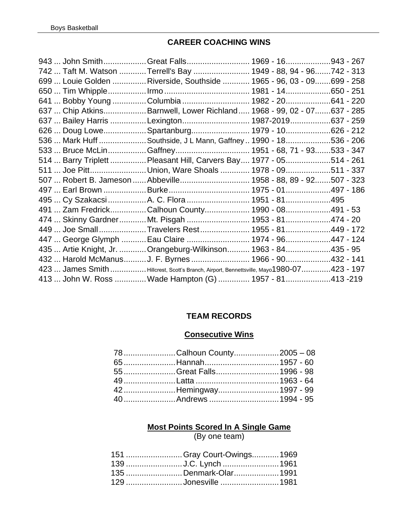### **CAREER COACHING WINS**

|  | 943  John SmithGreat Falls 1969 - 16943 - 267<br>742  Taft M. Watson Terrell's Bay  1949 - 88, 94 - 96742 - 313<br>699  Louie Golden  Riverside, Southside  1965 - 96, 03 - 09699 - 258<br>641  Bobby Young Columbia  1982 - 20641 - 220<br>637  Chip AtkinsBarnwell, Lower Richland 1968 - 99, 02 - 07637 - 285<br>637  Bailey Harris Lexington 1987-2019637 - 259<br>626  Doug LoweSpartanburg 1979 - 10626 - 212<br>536  Mark Huff Southside, J L Mann, Gaffney  1990 - 18536 - 206<br>514  Barry Triplett  Pleasant Hill, Carvers Bay 1977 - 05514 - 261<br>511  Joe PittUnion, Ware Shoals  1978 - 09511 - 337<br>507  Robert B. Jameson  Abbeville 1958 - 88, 89 - 92507 - 323<br>495  Cy Szakacsi A. C. Flora  1951 - 81495<br>491  Zam FredrickCalhoun County 1990 - 08491 - 53<br>474  Skinny GardnerMt. Pisgah  1953 - 81474 - 20<br>449  Joe SmallTravelers Rest 1955 - 81449 - 172<br>447  George Glymph  Eau Claire  1974 - 96447 - 124<br>435  Artie Knight, Jr.  Orangeburg-Wilkinson 1963 - 84435 - 95<br>432  Harold McManus J. F. Byrnes  1966 - 90432 - 141<br>423  James Smith  Hillcrest, Scott's Branch, Airport, Bennettsville, Mayo1980-07423 - 197<br>413  John W. Ross Wade Hampton (G)  1957 - 81413 -219 |
|--|--------------------------------------------------------------------------------------------------------------------------------------------------------------------------------------------------------------------------------------------------------------------------------------------------------------------------------------------------------------------------------------------------------------------------------------------------------------------------------------------------------------------------------------------------------------------------------------------------------------------------------------------------------------------------------------------------------------------------------------------------------------------------------------------------------------------------------------------------------------------------------------------------------------------------------------------------------------------------------------------------------------------------------------------------------------------------------------------------------------------------------------------------------------------------------------------------------------------------------------|

#### **TEAM RECORDS**

#### **Consecutive Wins**

| 78Calhoun County2005 - 08 |  |
|---------------------------|--|
|                           |  |
|                           |  |
|                           |  |
|                           |  |
|                           |  |

# **Most Points Scored In A Single Game**

(By one team)

| 151 Gray Court-Owings1969 |  |
|---------------------------|--|
| 139 J.C. Lynch 1961       |  |
| 135 Denmark-Olar 1991     |  |
| 129 Jonesville 1981       |  |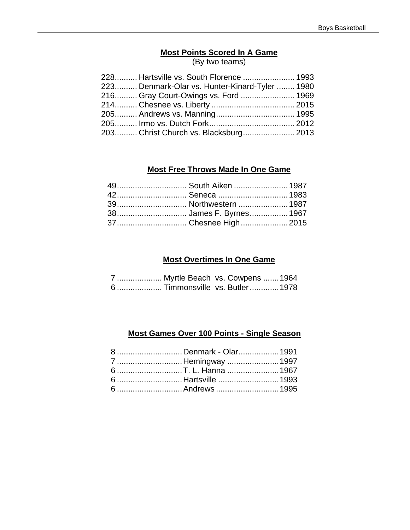# **Most Points Scored In A Game**

(By two teams)

| 228 Hartsville vs. South Florence  1993        |  |
|------------------------------------------------|--|
| 223 Denmark-Olar vs. Hunter-Kinard-Tyler  1980 |  |
| 216 Gray Court-Owings vs. Ford  1969           |  |
|                                                |  |
|                                                |  |
|                                                |  |
| 203 Christ Church vs. Blacksburg 2013          |  |

#### **Most Free Throws Made In One Game**

| 49 South Aiken  1987 |  |
|----------------------|--|
|                      |  |
|                      |  |
|                      |  |
| 37 Chesnee High 2015 |  |

#### **Most Overtimes In One Game**

| 7  Myrtle Beach vs. Cowpens  1964 |  |  |
|-----------------------------------|--|--|
| 6  Timmonsville vs. Butler  1978  |  |  |

### **Most Games Over 100 Points - Single Season**

| 8 Denmark - Olar 1991 |  |
|-----------------------|--|
| 7  Hemingway  1997    |  |
| 6 T. L. Hanna 1967    |  |
| 6  Hartsville  1993   |  |
| 6  Andrews  1995      |  |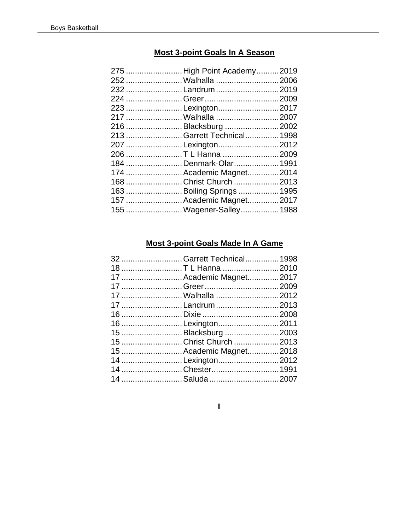### **Most 3-point Goals In A Season**

| 232 Landrum 2019<br>223 Lexington2017<br>216 Blacksburg 2002<br>213  Garrett Technical 1998<br>207 Lexington2012<br>206 T L Hanna 2009<br>184 Denmark-Olar 1991<br>174  Academic Magnet 2014<br>168 Christ Church 2013<br>163  Boiling Springs  1995<br>157  Academic Magnet2017<br>155  Wagener-Salley 1988 | 275  High Point Academy 2019 |  |
|--------------------------------------------------------------------------------------------------------------------------------------------------------------------------------------------------------------------------------------------------------------------------------------------------------------|------------------------------|--|
|                                                                                                                                                                                                                                                                                                              |                              |  |
|                                                                                                                                                                                                                                                                                                              |                              |  |
|                                                                                                                                                                                                                                                                                                              |                              |  |
|                                                                                                                                                                                                                                                                                                              |                              |  |
|                                                                                                                                                                                                                                                                                                              |                              |  |
|                                                                                                                                                                                                                                                                                                              |                              |  |
|                                                                                                                                                                                                                                                                                                              |                              |  |
|                                                                                                                                                                                                                                                                                                              |                              |  |
|                                                                                                                                                                                                                                                                                                              |                              |  |
|                                                                                                                                                                                                                                                                                                              |                              |  |
|                                                                                                                                                                                                                                                                                                              |                              |  |
|                                                                                                                                                                                                                                                                                                              |                              |  |
|                                                                                                                                                                                                                                                                                                              |                              |  |
|                                                                                                                                                                                                                                                                                                              |                              |  |
|                                                                                                                                                                                                                                                                                                              |                              |  |

### **Most 3-point Goals Made In A Game**

| 32  Garrett Technical 1998 |  |
|----------------------------|--|
| 18 T L Hanna 2010          |  |
| 17  Academic Magnet2017    |  |
|                            |  |
|                            |  |
| 17 Landrum 2013            |  |
|                            |  |
| 16 Lexington2011           |  |
| 15 Blacksburg 2003         |  |
| 15 Christ Church 2013      |  |
| 15  Academic Magnet 2018   |  |
| 14 Lexington2012           |  |
|                            |  |
|                            |  |

 $\mathbf{I}$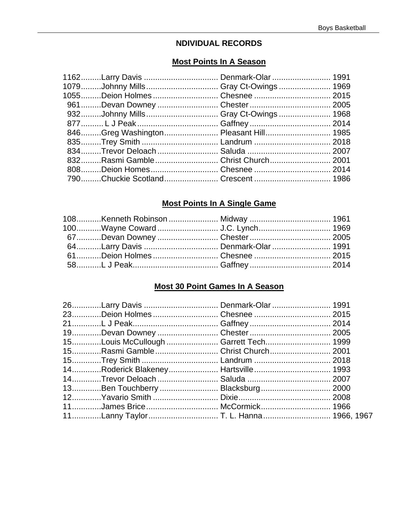#### **NDIVIDUAL RECORDS**

#### **Most Points In A Season**

| 1162Larry Davis  Denmark-Olar  1991<br>1079Johnny Mills Gray Ct-Owings 1969<br>832Rasmi Gamble Christ Church 2001<br>790Chuckie Scotland Crescent  1986 |
|---------------------------------------------------------------------------------------------------------------------------------------------------------|

#### **Most Points In A Single Game**

| 64Larry Davis  Denmark-Olar  1991                      |  |
|--------------------------------------------------------|--|
|                                                        |  |
| _58……….L J Peak………………………………… Gaffney ……………………………… 2014 |  |

# **Most 30 Point Games In A Season**

| 26Larry Davis  Denmark-Olar  1991     |  |
|---------------------------------------|--|
|                                       |  |
|                                       |  |
|                                       |  |
| 15Louis McCullough  Garrett Tech 1999 |  |
| 15Rasmi Gamble Christ Church 2001     |  |
|                                       |  |
| 14Roderick Blakeney Hartsville 1993   |  |
| 14Trevor Deloach  Saluda  2007        |  |
| 13Ben Touchberry  Blacksburg 2000     |  |
|                                       |  |
| 11James Brice McCormick 1966          |  |
| 11Lanny Taylor T. L. Hanna 1966, 1967 |  |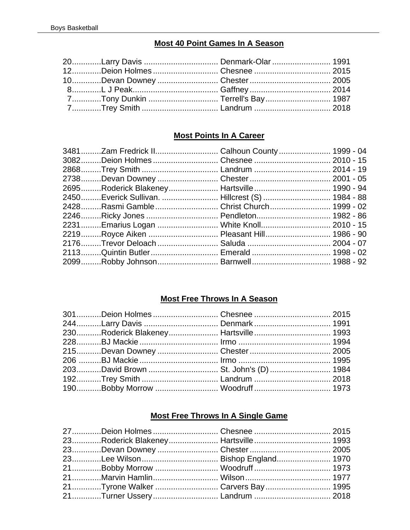### **Most 40 Point Games In A Season**

| 20Larry Davis  Denmark-Olar  1991 |  |
|-----------------------------------|--|
| 12Deion Holmes  Chesnee  2015     |  |
| 10Devan Downey  Chester  2005     |  |
|                                   |  |
| 7Tony Dunkin  Terrell's Bay 1987  |  |
|                                   |  |

# **Most Points In A Career**

|  | 3481Zam Fredrick II Calhoun County 1999 - 04    |  |
|--|-------------------------------------------------|--|
|  |                                                 |  |
|  | 2868Trey Smith  Landrum  2014 - 19              |  |
|  |                                                 |  |
|  | 2695Roderick Blakeney Hartsville 1990 - 94      |  |
|  | 2450Everick Sullivan.  Hillcrest (S)  1984 - 88 |  |
|  | 2428Rasmi Gamble  Christ Church 1999 - 02       |  |
|  | 2246Ricky Jones  Pendleton 1982 - 86            |  |
|  | 2231Emarius Logan  White Knoll 2010 - 15        |  |
|  | 2219Royce Aiken  Pleasant Hill 1986 - 90        |  |
|  |                                                 |  |
|  | 2113Quintin Butler Emerald  1998 - 02           |  |
|  |                                                 |  |
|  |                                                 |  |

#### **Most Free Throws In A Season**

| 244Larry Davis  Denmark  1991        |  |
|--------------------------------------|--|
| 230Roderick Blakeney Hartsville 1993 |  |
|                                      |  |
|                                      |  |
|                                      |  |
| 203David Brown  St. John's (D)  1984 |  |
|                                      |  |
| 190Bobby Morrow  Woodruff  1973      |  |
|                                      |  |

# **Most Free Throws In A Single Game**

| 21Tyrone Walker  Carvers Bay  1995 |  |
|------------------------------------|--|
| 21Turner Ussery Landrum  2018      |  |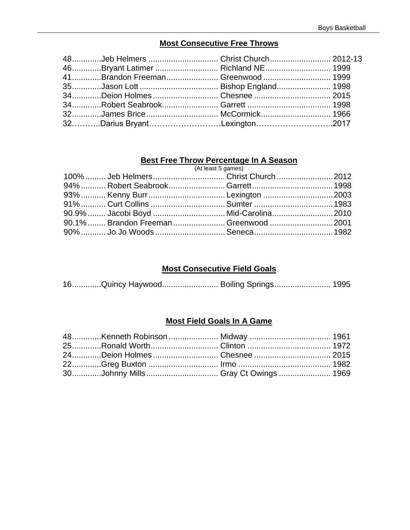### **Most Consecutive Free Throws**

| 48Jeb Helmers  Christ Church 2012-13 |  |
|--------------------------------------|--|
| 46Bryant Latimer  Richland NE 1999   |  |
| 41Brandon Freeman Greenwood 1999     |  |
|                                      |  |
|                                      |  |
|                                      |  |
| 32James Brice McCormick 1966         |  |
| 32Darius BryantLexington2017         |  |

### **Best Free Throw Percentage In A Season**

|  | (At least 5 games)                      |  |
|--|-----------------------------------------|--|
|  |                                         |  |
|  |                                         |  |
|  |                                         |  |
|  |                                         |  |
|  | 90.9%  Jacobi Boyd  Mid-Carolina 2010   |  |
|  | 90.1%  Brandon Freeman  Greenwood  2001 |  |
|  | 90%  Jo Jo Woods  Seneca  1982          |  |
|  |                                         |  |

#### **Most Consecutive Field Goals**

|  | 16Quincy Haywood Boiling Springs 1995 |  |
|--|---------------------------------------|--|
|  |                                       |  |

#### **Most Field Goals In A Game**

| 24Deion Holmes  Chesnee  2015 |  |
|-------------------------------|--|
|                               |  |
|                               |  |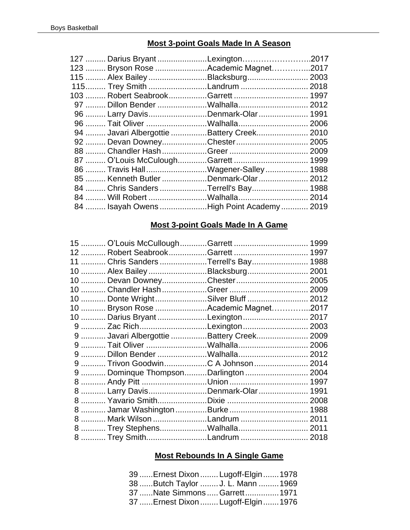#### **Most 3-point Goals Made In A Season**

| 127  Darius Bryant Lexington2017          |  |
|-------------------------------------------|--|
| 123  Bryson Rose Academic Magnet2017      |  |
| 115  Alex Bailey Blacksburg 2003          |  |
| 115 Trey Smith Landrum  2018              |  |
|                                           |  |
|                                           |  |
| 96  Larry DavisDenmark-Olar 1991          |  |
|                                           |  |
| 94  Javari Albergottie Battery Creek 2010 |  |
| 92  Devan DowneyChester 2005              |  |
|                                           |  |
|                                           |  |
| 86  Travis Hall Wagener-Salley  1988      |  |
| 85  Kenneth Butler Denmark-Olar  2012     |  |
| 84  Chris Sanders Terrell's Bay 1988      |  |
|                                           |  |
| 84  Isayah Owens High Point Academy  2019 |  |

#### **Most 3-point Goals Made In A Game**

|  | 11  Chris Sanders Terrell's Bay 1988     |  |
|--|------------------------------------------|--|
|  | 10  Alex Bailey Blacksburg 2001          |  |
|  | 10  Devan DowneyChester 2005             |  |
|  |                                          |  |
|  | 10  Donte WrightSilver Bluff  2012       |  |
|  | 10  Bryson Rose Academic Magnet2017      |  |
|  | 10  Darius Bryant Lexington  2017        |  |
|  | 9  Zac RichLexington 2003                |  |
|  | 9  Javari Albergottie Battery Creek 2009 |  |
|  |                                          |  |
|  |                                          |  |
|  | 9  Trivon GoodwinC A Johnson 2014        |  |
|  | 9  Dominque ThompsonDarlington  2004     |  |
|  |                                          |  |
|  | 8  Larry DavisDenmark-Olar 1991          |  |
|  |                                          |  |
|  | 8  Jamar Washington Burke  1988          |  |
|  | 8  Mark Wilson Landrum  2011             |  |
|  |                                          |  |
|  | 8  Trey SmithLandrum  2018               |  |

### **Most Rebounds In A Single Game**

| 39  Ernest Dixon  Lugoff-Elgin  1978 |  |
|--------------------------------------|--|
| 38 Butch Taylor  J. L. Mann  1969    |  |
| 37 Nate Simmons  Garrett  1971       |  |
| 37  Ernest Dixon  Lugoff-Elgin  1976 |  |